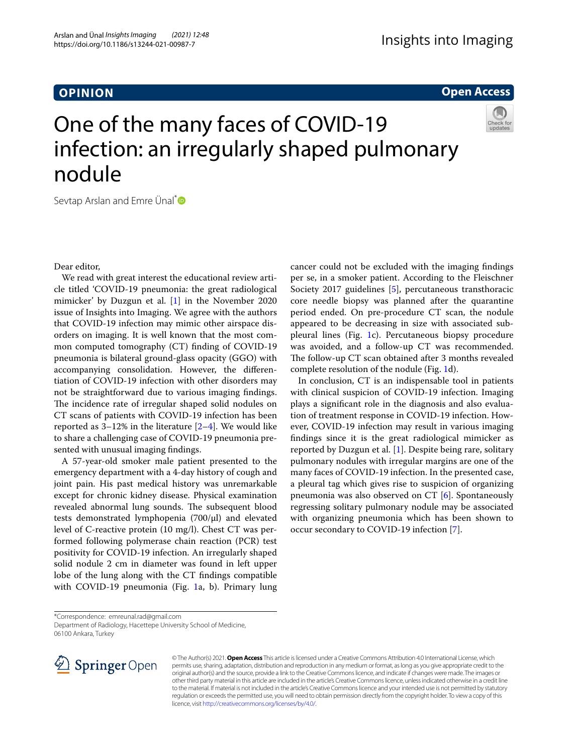## **OPINION**

**Open Access**

# One of the many faces of COVID-19 infection: an irregularly shaped pulmonary nodule



Sevtap Arslan and Emre Ünal<sup>[\\*](http://orcid.org/0000-0002-1520-2487)</sup>

Dear editor,

We read with great interest the educational review article titled 'COVID-19 pneumonia: the great radiological mimicker' by Duzgun et al. [[1](#page-1-0)] in the November 2020 issue of Insights into Imaging. We agree with the authors that COVID-19 infection may mimic other airspace disorders on imaging. It is well known that the most common computed tomography (CT) fnding of COVID-19 pneumonia is bilateral ground-glass opacity (GGO) with accompanying consolidation. However, the diferentiation of COVID-19 infection with other disorders may not be straightforward due to various imaging fndings. The incidence rate of irregular shaped solid nodules on CT scans of patients with COVID-19 infection has been reported as  $3-12\%$  in the literature  $[2-4]$  $[2-4]$ . We would like to share a challenging case of COVID-19 pneumonia presented with unusual imaging fndings.

A 57-year-old smoker male patient presented to the emergency department with a 4-day history of cough and joint pain. His past medical history was unremarkable except for chronic kidney disease. Physical examination revealed abnormal lung sounds. The subsequent blood tests demonstrated lymphopenia (700/µl) and elevated level of C-reactive protein (10 mg/l). Chest CT was performed following polymerase chain reaction (PCR) test positivity for COVID-19 infection. An irregularly shaped solid nodule 2 cm in diameter was found in left upper lobe of the lung along with the CT fndings compatible with COVID-[1](#page-1-3)9 pneumonia (Fig. 1a, b). Primary lung cancer could not be excluded with the imaging fndings per se, in a smoker patient. According to the Fleischner Society 2017 guidelines [[5\]](#page-1-4), percutaneous transthoracic core needle biopsy was planned after the quarantine period ended. On pre-procedure CT scan, the nodule appeared to be decreasing in size with associated subpleural lines (Fig. [1c](#page-1-3)). Percutaneous biopsy procedure was avoided, and a follow-up CT was recommended. The follow-up CT scan obtained after 3 months revealed complete resolution of the nodule (Fig. [1](#page-1-3)d).

In conclusion, CT is an indispensable tool in patients with clinical suspicion of COVID-19 infection. Imaging plays a signifcant role in the diagnosis and also evaluation of treatment response in COVID-19 infection. However, COVID-19 infection may result in various imaging fndings since it is the great radiological mimicker as reported by Duzgun et al. [\[1](#page-1-0)]. Despite being rare, solitary pulmonary nodules with irregular margins are one of the many faces of COVID-19 infection. In the presented case, a pleural tag which gives rise to suspicion of organizing pneumonia was also observed on CT [\[6](#page-1-5)]. Spontaneously regressing solitary pulmonary nodule may be associated with organizing pneumonia which has been shown to occur secondary to COVID-19 infection [[7\]](#page-1-6).

Department of Radiology, Hacettepe University School of Medicine, 06100 Ankara, Turkey



© The Author(s) 2021. **Open Access** This article is licensed under a Creative Commons Attribution 4.0 International License, which permits use, sharing, adaptation, distribution and reproduction in any medium or format, as long as you give appropriate credit to the original author(s) and the source, provide a link to the Creative Commons licence, and indicate if changes were made. The images or other third party material in this article are included in the article's Creative Commons licence, unless indicated otherwise in a credit line to the material. If material is not included in the article's Creative Commons licence and your intended use is not permitted by statutory regulation or exceeds the permitted use, you will need to obtain permission directly from the copyright holder. To view a copy of this licence, visit [http://creativecommons.org/licenses/by/4.0/.](http://creativecommons.org/licenses/by/4.0/)

<sup>\*</sup>Correspondence: emreunal.rad@gmail.com